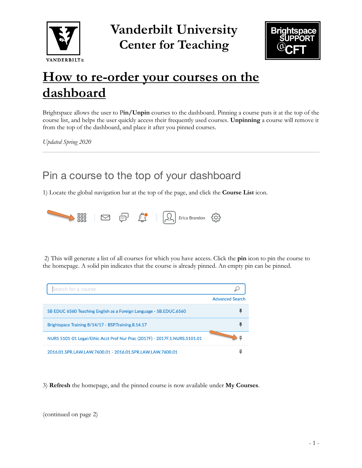

**Vanderbilt University Center for Teaching**



## **How to re-order your courses on the dashboard**

Brightspace allows the user to P**in/Unpin** courses to the dashboard. Pinning a course puts it at the top of the course list, and helps the user quickly access their frequently used courses. **Unpinning** a course will remove it from the top of the dashboard, and place it after you pinned courses.

*Updated Spring 2020*

## Pin a course to the top of your dashboard

1) Locate the global navigation bar at the top of the page, and click the **Course List** icon.



2) This will generate a list of all courses for which you have access. Click the **pin** icon to pin the course to the homepage. A solid pin indicates that the course is already pinned. An empty pin can be pinned.



3) **Refresh** the homepage, and the pinned course is now available under **My Courses**.